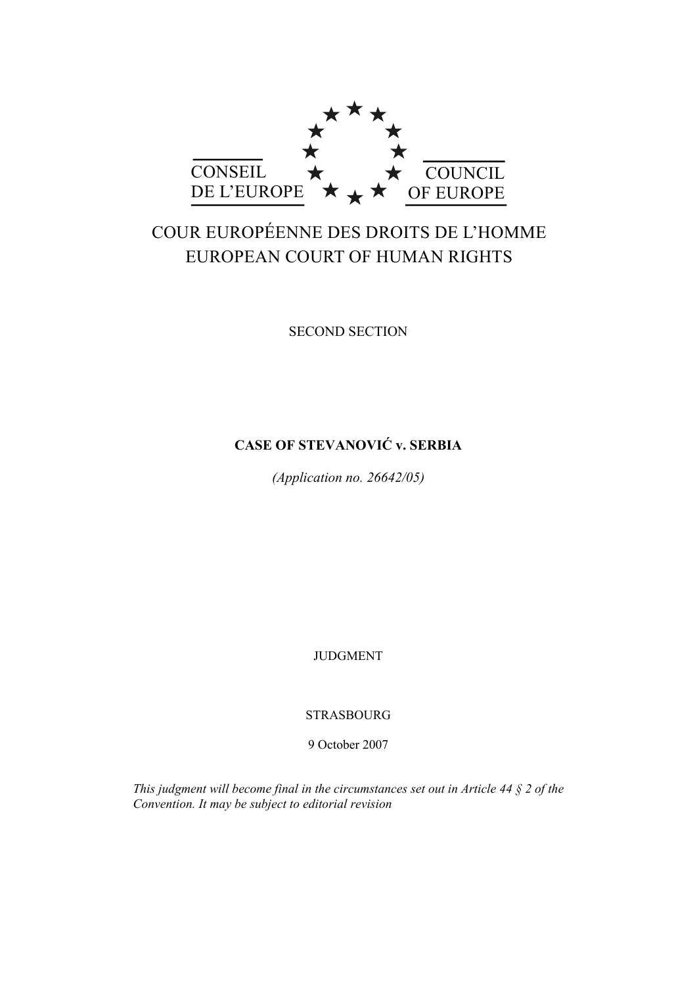

# COUR EUROPÉENNE DES DROITS DE L'HOMME EUROPEAN COURT OF HUMAN RIGHTS

SECOND SECTION

# **CASE OF STEVANOVIĆ v. SERBIA**

*(Application no. 26642/05)* 

JUDGMENT

STRASBOURG

9 October 2007

*This judgment will become final in the circumstances set out in Article 44 § 2 of the Convention. It may be subject to editorial revision*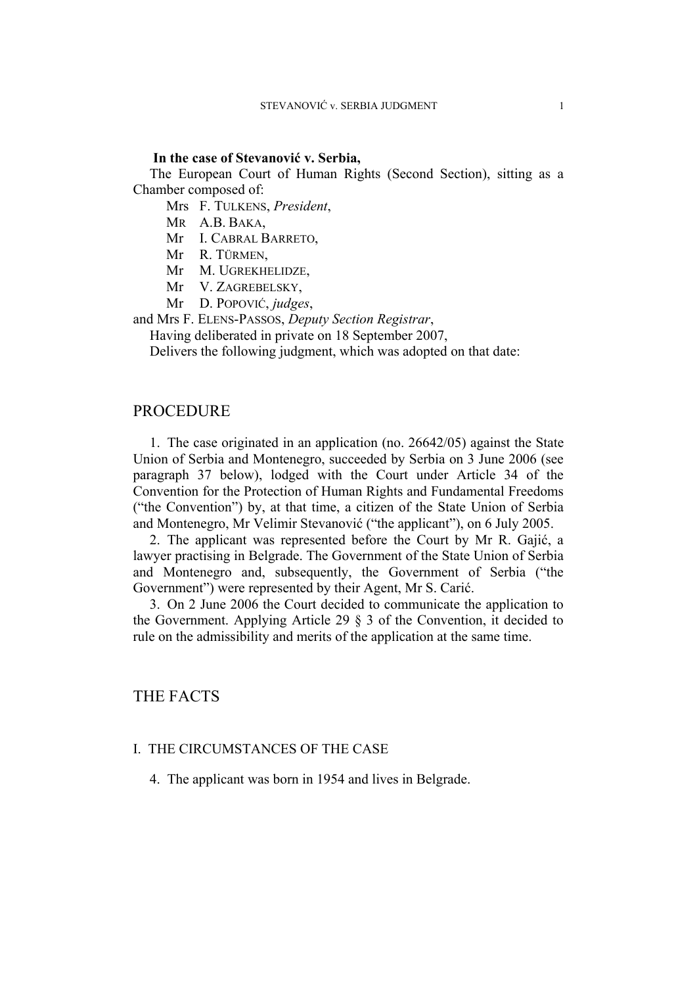#### **In the case of Stevanović v. Serbia,**

The European Court of Human Rights (Second Section), sitting as a Chamber composed of:

Mrs F. TULKENS, *President*,

MR A.B. BAKA,

Mr I. CABRAL BARRETO,

Mr R. TÜRMEN,

Mr M. UGREKHELIDZE,

Mr V. ZAGREBELSKY,

Mr D. POPOVIĆ, *judges*,

and Mrs F. ELENS-PASSOS, *Deputy Section Registrar*,

Having deliberated in private on 18 September 2007,

Delivers the following judgment, which was adopted on that date:

## PROCEDURE

1. The case originated in an application (no. 26642/05) against the State Union of Serbia and Montenegro, succeeded by Serbia on 3 June 2006 (see paragraph 37 below), lodged with the Court under Article 34 of the Convention for the Protection of Human Rights and Fundamental Freedoms ("the Convention") by, at that time, a citizen of the State Union of Serbia and Montenegro, Mr Velimir Stevanović ("the applicant"), on 6 July 2005.

2. The applicant was represented before the Court by Mr R. Gajić, a lawyer practising in Belgrade. The Government of the State Union of Serbia and Montenegro and, subsequently, the Government of Serbia ("the Government") were represented by their Agent, Mr S. Carić.

3. On 2 June 2006 the Court decided to communicate the application to the Government. Applying Article 29 § 3 of the Convention, it decided to rule on the admissibility and merits of the application at the same time.

# THE FACTS

#### I. THE CIRCUMSTANCES OF THE CASE

4. The applicant was born in 1954 and lives in Belgrade.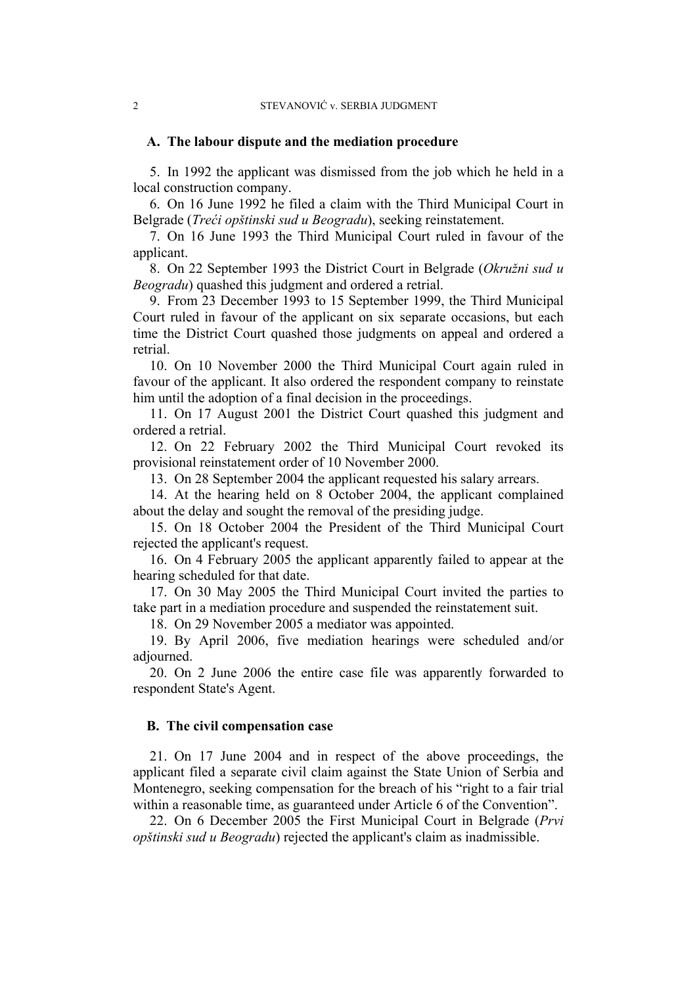#### **A. The labour dispute and the mediation procedure**

5. In 1992 the applicant was dismissed from the job which he held in a local construction company.

6. On 16 June 1992 he filed a claim with the Third Municipal Court in Belgrade (*Treći opštinski sud u Beogradu*), seeking reinstatement.

7. On 16 June 1993 the Third Municipal Court ruled in favour of the applicant.

8. On 22 September 1993 the District Court in Belgrade (*Okružni sud u Beogradu*) quashed this judgment and ordered a retrial.

9. From 23 December 1993 to 15 September 1999, the Third Municipal Court ruled in favour of the applicant on six separate occasions, but each time the District Court quashed those judgments on appeal and ordered a retrial.

10. On 10 November 2000 the Third Municipal Court again ruled in favour of the applicant. It also ordered the respondent company to reinstate him until the adoption of a final decision in the proceedings.

11. On 17 August 2001 the District Court quashed this judgment and ordered a retrial.

12. On 22 February 2002 the Third Municipal Court revoked its provisional reinstatement order of 10 November 2000.

13. On 28 September 2004 the applicant requested his salary arrears.

14. At the hearing held on 8 October 2004, the applicant complained about the delay and sought the removal of the presiding judge.

15. On 18 October 2004 the President of the Third Municipal Court rejected the applicant's request.

16. On 4 February 2005 the applicant apparently failed to appear at the hearing scheduled for that date.

17. On 30 May 2005 the Third Municipal Court invited the parties to take part in a mediation procedure and suspended the reinstatement suit.

18. On 29 November 2005 a mediator was appointed.

19. By April 2006, five mediation hearings were scheduled and/or adjourned.

20. On 2 June 2006 the entire case file was apparently forwarded to respondent State's Agent.

#### **B. The civil compensation case**

21. On 17 June 2004 and in respect of the above proceedings, the applicant filed a separate civil claim against the State Union of Serbia and Montenegro, seeking compensation for the breach of his "right to a fair trial within a reasonable time, as guaranteed under Article 6 of the Convention".

22. On 6 December 2005 the First Municipal Court in Belgrade (*Prvi opštinski sud u Beogradu*) rejected the applicant's claim as inadmissible.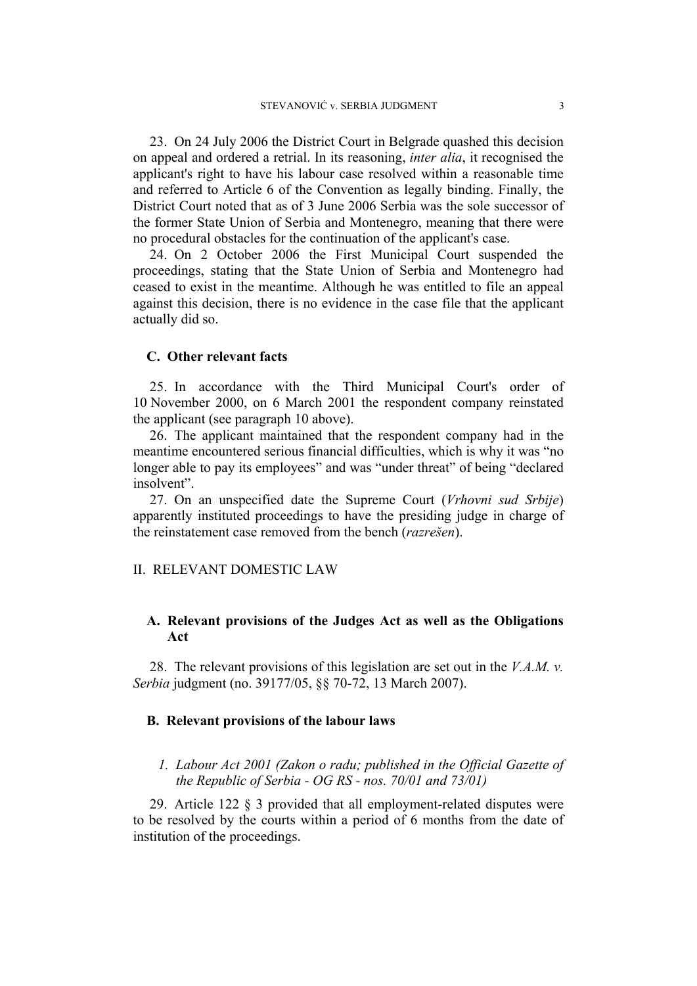23. On 24 July 2006 the District Court in Belgrade quashed this decision on appeal and ordered a retrial. In its reasoning, *inter alia*, it recognised the applicant's right to have his labour case resolved within a reasonable time and referred to Article 6 of the Convention as legally binding. Finally, the District Court noted that as of 3 June 2006 Serbia was the sole successor of the former State Union of Serbia and Montenegro, meaning that there were no procedural obstacles for the continuation of the applicant's case.

24. On 2 October 2006 the First Municipal Court suspended the proceedings, stating that the State Union of Serbia and Montenegro had ceased to exist in the meantime. Although he was entitled to file an appeal against this decision, there is no evidence in the case file that the applicant actually did so.

## **C. Other relevant facts**

25. In accordance with the Third Municipal Court's order of 10 November 2000, on 6 March 2001 the respondent company reinstated the applicant (see paragraph 10 above).

26. The applicant maintained that the respondent company had in the meantime encountered serious financial difficulties, which is why it was "no longer able to pay its employees" and was "under threat" of being "declared insolvent".

27. On an unspecified date the Supreme Court (*Vrhovni sud Srbije*) apparently instituted proceedings to have the presiding judge in charge of the reinstatement case removed from the bench (*razrešen*).

## II. RELEVANT DOMESTIC LAW

# **A. Relevant provisions of the Judges Act as well as the Obligations Act**

28. The relevant provisions of this legislation are set out in the *V.A.M. v. Serbia* judgment (no. 39177/05, §§ 70-72, 13 March 2007).

## **B. Relevant provisions of the labour laws**

# *1. Labour Act 2001 (Zakon o radu; published in the Official Gazette of the Republic of Serbia - OG RS - nos. 70/01 and 73/01)*

29. Article 122 § 3 provided that all employment-related disputes were to be resolved by the courts within a period of 6 months from the date of institution of the proceedings.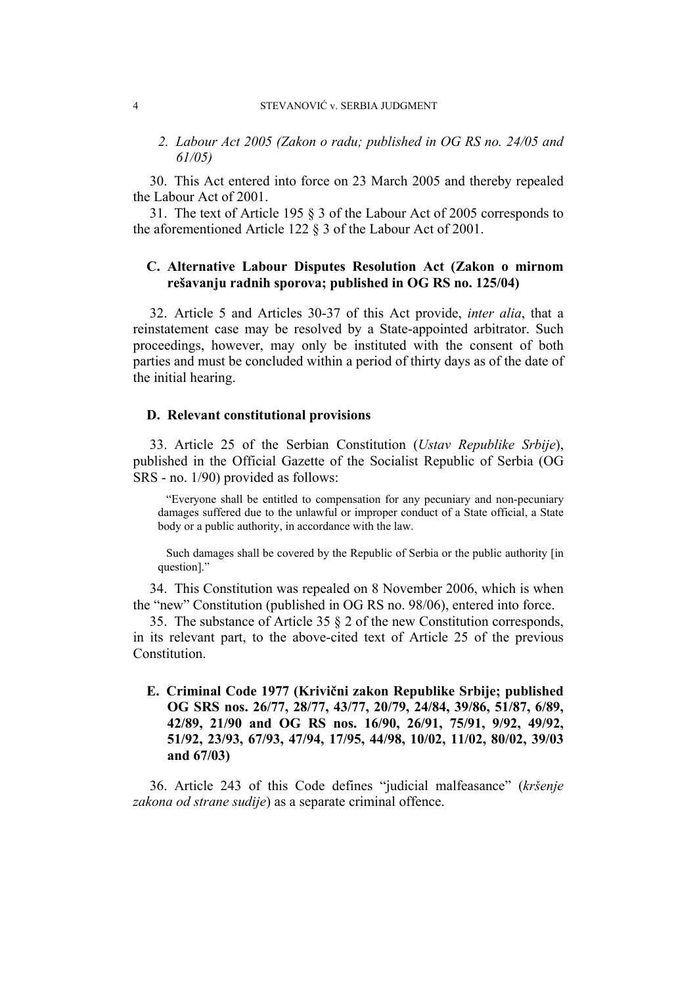#### 4 STEVANOVIĆ v. SERBIA JUDGMENT

*2. Labour Act 2005 (Zakon o radu; published in OG RS no. 24/05 and 61/05)* 

30. This Act entered into force on 23 March 2005 and thereby repealed the Labour Act of 2001.

31. The text of Article 195 § 3 of the Labour Act of 2005 corresponds to the aforementioned Article 122 § 3 of the Labour Act of 2001.

## **C. Alternative Labour Disputes Resolution Act (Zakon o mirnom rešavanju radnih sporova; published in OG RS no. 125/04)**

32. Article 5 and Articles 30-37 of this Act provide, *inter alia*, that a reinstatement case may be resolved by a State-appointed arbitrator. Such proceedings, however, may only be instituted with the consent of both parties and must be concluded within a period of thirty days as of the date of the initial hearing.

#### **D. Relevant constitutional provisions**

33. Article 25 of the Serbian Constitution (*Ustav Republike Srbije*), published in the Official Gazette of the Socialist Republic of Serbia (OG SRS - no. 1/90) provided as follows:

"Everyone shall be entitled to compensation for any pecuniary and non-pecuniary damages suffered due to the unlawful or improper conduct of a State official, a State body or a public authority, in accordance with the law.

Such damages shall be covered by the Republic of Serbia or the public authority [in question]."

34. This Constitution was repealed on 8 November 2006, which is when the "new" Constitution (published in OG RS no. 98/06), entered into force.

35. The substance of Article 35 § 2 of the new Constitution corresponds, in its relevant part, to the above-cited text of Article 25 of the previous **Constitution** 

**E. Criminal Code 1977 (Krivični zakon Republike Srbije; published OG SRS nos. 26/77, 28/77, 43/77, 20/79, 24/84, 39/86, 51/87, 6/89, 42/89, 21/90 and OG RS nos. 16/90, 26/91, 75/91, 9/92, 49/92, 51/92, 23/93, 67/93, 47/94, 17/95, 44/98, 10/02, 11/02, 80/02, 39/03 and 67/03)** 

36. Article 243 of this Code defines "judicial malfeasance" (*kršenje zakona od strane sudije*) as a separate criminal offence.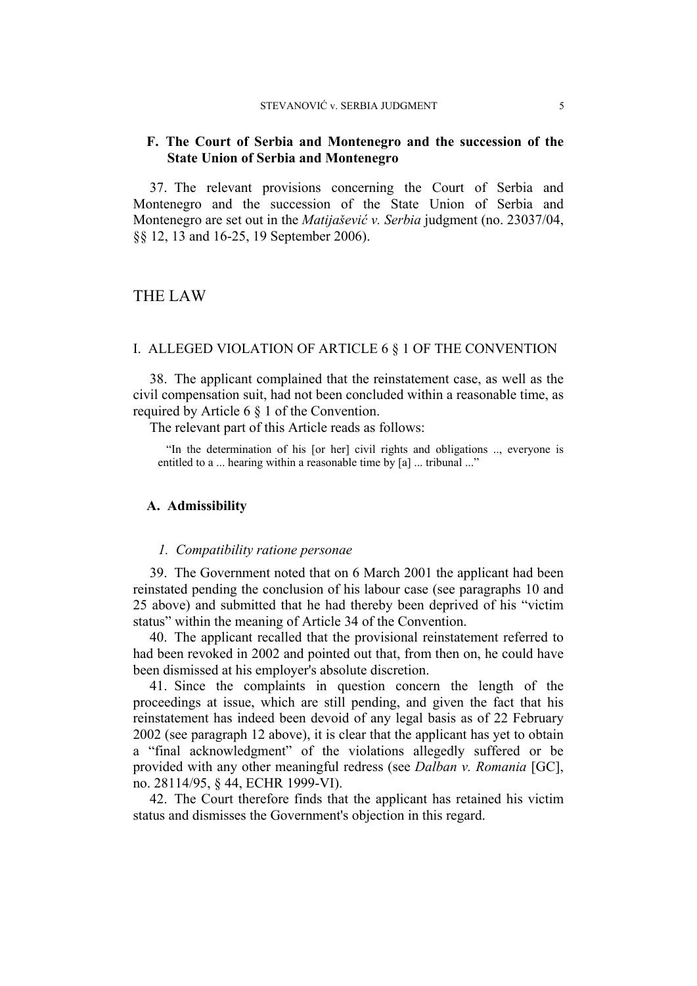## **F. The Court of Serbia and Montenegro and the succession of the State Union of Serbia and Montenegro**

37. The relevant provisions concerning the Court of Serbia and Montenegro and the succession of the State Union of Serbia and Montenegro are set out in the *Matijašević v. Serbia* judgment (no. 23037/04, §§ 12, 13 and 16-25, 19 September 2006).

# THE LAW

#### I. ALLEGED VIOLATION OF ARTICLE 6 § 1 OF THE CONVENTION

38. The applicant complained that the reinstatement case, as well as the civil compensation suit, had not been concluded within a reasonable time, as required by Article 6 § 1 of the Convention.

The relevant part of this Article reads as follows:

"In the determination of his [or her] civil rights and obligations .., everyone is entitled to a ... hearing within a reasonable time by [a] ... tribunal ..."

#### **A. Admissibility**

#### *1. Compatibility ratione personae*

39. The Government noted that on 6 March 2001 the applicant had been reinstated pending the conclusion of his labour case (see paragraphs 10 and 25 above) and submitted that he had thereby been deprived of his "victim status" within the meaning of Article 34 of the Convention.

40. The applicant recalled that the provisional reinstatement referred to had been revoked in 2002 and pointed out that, from then on, he could have been dismissed at his employer's absolute discretion.

41. Since the complaints in question concern the length of the proceedings at issue, which are still pending, and given the fact that his reinstatement has indeed been devoid of any legal basis as of 22 February 2002 (see paragraph 12 above), it is clear that the applicant has yet to obtain a "final acknowledgment" of the violations allegedly suffered or be provided with any other meaningful redress (see *Dalban v. Romania* [GC], no. 28114/95, § 44, ECHR 1999-VI).

42. The Court therefore finds that the applicant has retained his victim status and dismisses the Government's objection in this regard.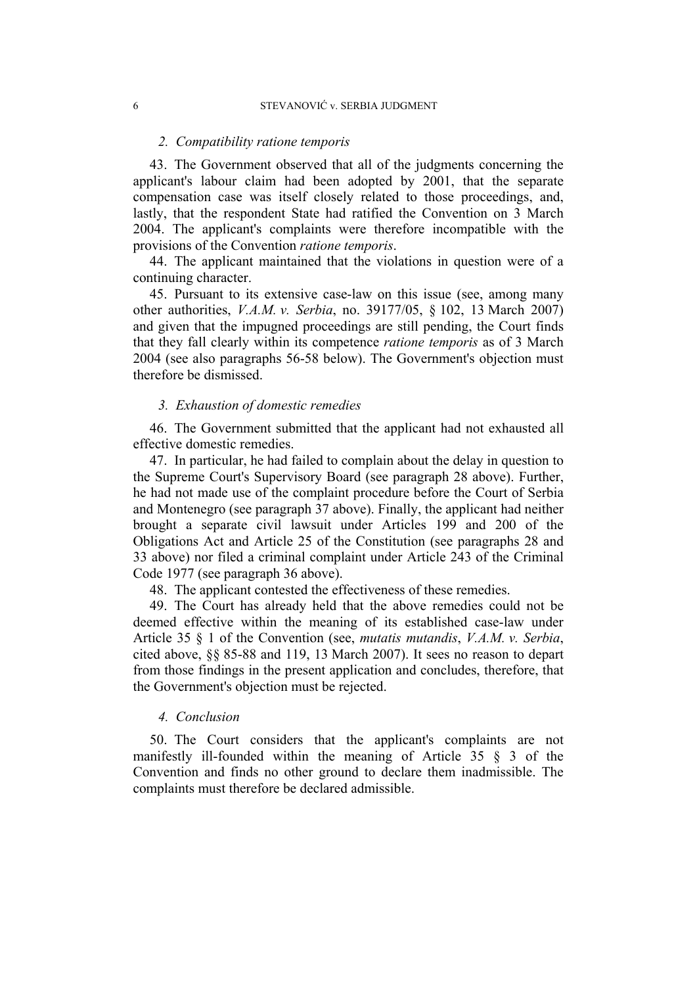#### *2. Compatibility ratione temporis*

43. The Government observed that all of the judgments concerning the applicant's labour claim had been adopted by 2001, that the separate compensation case was itself closely related to those proceedings, and, lastly, that the respondent State had ratified the Convention on 3 March 2004. The applicant's complaints were therefore incompatible with the provisions of the Convention *ratione temporis*.

44. The applicant maintained that the violations in question were of a continuing character.

45. Pursuant to its extensive case-law on this issue (see, among many other authorities, *V.A.M. v. Serbia*, no. 39177/05, § 102, 13 March 2007) and given that the impugned proceedings are still pending, the Court finds that they fall clearly within its competence *ratione temporis* as of 3 March 2004 (see also paragraphs 56-58 below). The Government's objection must therefore be dismissed.

#### *3. Exhaustion of domestic remedies*

46. The Government submitted that the applicant had not exhausted all effective domestic remedies.

47. In particular, he had failed to complain about the delay in question to the Supreme Court's Supervisory Board (see paragraph 28 above). Further, he had not made use of the complaint procedure before the Court of Serbia and Montenegro (see paragraph 37 above). Finally, the applicant had neither brought a separate civil lawsuit under Articles 199 and 200 of the Obligations Act and Article 25 of the Constitution (see paragraphs 28 and 33 above) nor filed a criminal complaint under Article 243 of the Criminal Code 1977 (see paragraph 36 above).

48. The applicant contested the effectiveness of these remedies.

49. The Court has already held that the above remedies could not be deemed effective within the meaning of its established case-law under Article 35 § 1 of the Convention (see, *mutatis mutandis*, *V.A.M. v. Serbia*, cited above, §§ 85-88 and 119, 13 March 2007). It sees no reason to depart from those findings in the present application and concludes, therefore, that the Government's objection must be rejected.

#### *4. Conclusion*

50. The Court considers that the applicant's complaints are not manifestly ill-founded within the meaning of Article 35 § 3 of the Convention and finds no other ground to declare them inadmissible. The complaints must therefore be declared admissible.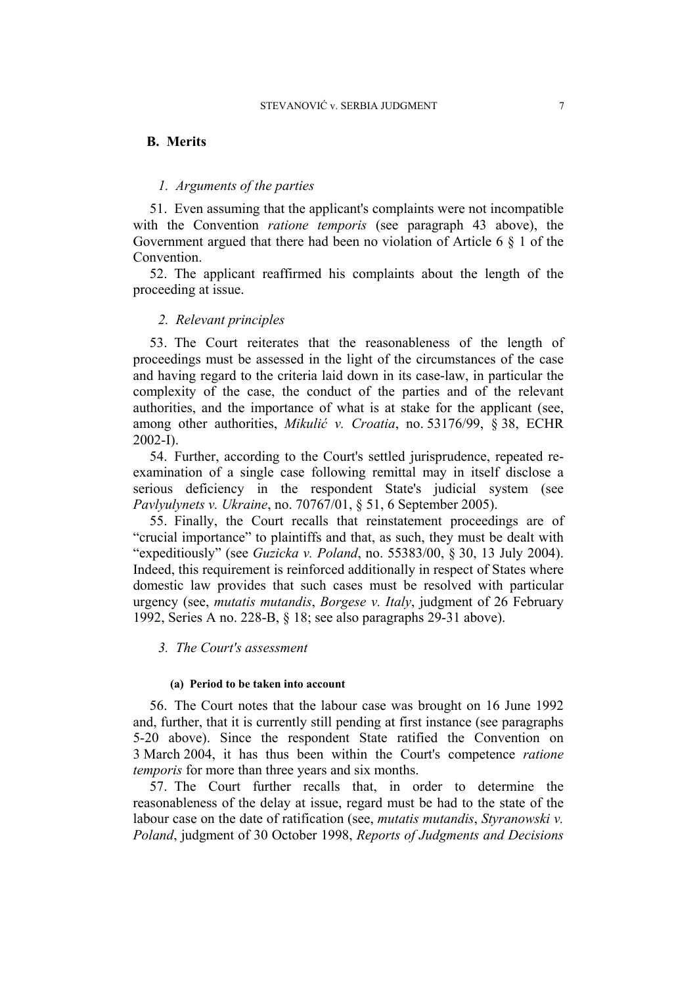#### **B. Merits**

## *1. Arguments of the parties*

51. Even assuming that the applicant's complaints were not incompatible with the Convention *ratione temporis* (see paragraph 43 above), the Government argued that there had been no violation of Article 6 § 1 of the **Convention** 

52. The applicant reaffirmed his complaints about the length of the proceeding at issue.

#### *2. Relevant principles*

53. The Court reiterates that the reasonableness of the length of proceedings must be assessed in the light of the circumstances of the case and having regard to the criteria laid down in its case-law, in particular the complexity of the case, the conduct of the parties and of the relevant authorities, and the importance of what is at stake for the applicant (see, among other authorities, *Mikulić v. Croatia*, no. 53176/99, § 38, ECHR 2002-I).

54. Further, according to the Court's settled jurisprudence, repeated reexamination of a single case following remittal may in itself disclose a serious deficiency in the respondent State's judicial system (see *Pavlyulynets v. Ukraine*, no. 70767/01, § 51, 6 September 2005).

55. Finally, the Court recalls that reinstatement proceedings are of "crucial importance" to plaintiffs and that, as such, they must be dealt with "expeditiously" (see *Guzicka v. Poland*, no. 55383/00, § 30, 13 July 2004). Indeed, this requirement is reinforced additionally in respect of States where domestic law provides that such cases must be resolved with particular urgency (see, *mutatis mutandis*, *Borgese v. Italy*, judgment of 26 February 1992, Series A no. 228-B, § 18; see also paragraphs 29-31 above).

*3. The Court's assessment* 

#### **(a) Period to be taken into account**

56. The Court notes that the labour case was brought on 16 June 1992 and, further, that it is currently still pending at first instance (see paragraphs 5-20 above). Since the respondent State ratified the Convention on 3 March 2004, it has thus been within the Court's competence *ratione temporis* for more than three years and six months.

57. The Court further recalls that, in order to determine the reasonableness of the delay at issue, regard must be had to the state of the labour case on the date of ratification (see, *mutatis mutandis*, *Styranowski v. Poland*, judgment of 30 October 1998, *Reports of Judgments and Decisions*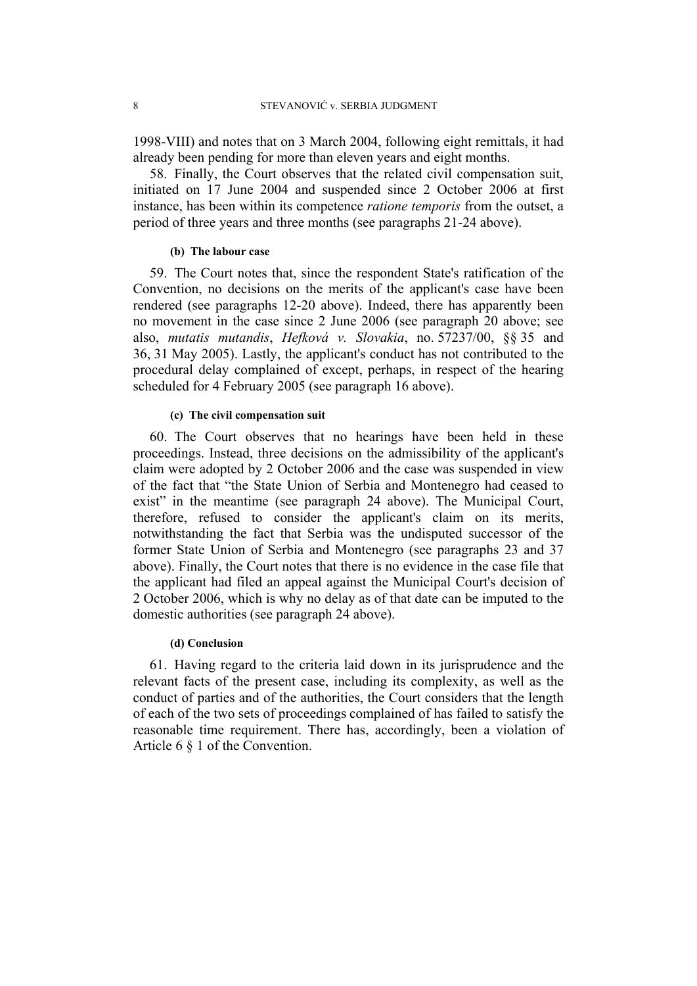1998-VIII) and notes that on 3 March 2004, following eight remittals, it had already been pending for more than eleven years and eight months.

58. Finally, the Court observes that the related civil compensation suit, initiated on 17 June 2004 and suspended since 2 October 2006 at first instance, has been within its competence *ratione temporis* from the outset, a period of three years and three months (see paragraphs 21-24 above).

#### **(b) The labour case**

59. The Court notes that, since the respondent State's ratification of the Convention, no decisions on the merits of the applicant's case have been rendered (see paragraphs 12-20 above). Indeed, there has apparently been no movement in the case since 2 June 2006 (see paragraph 20 above; see also, *mutatis mutandis*, *Hefková v. Slovakia*, no. 57237/00, §§ 35 and 36, 31 May 2005). Lastly, the applicant's conduct has not contributed to the procedural delay complained of except, perhaps, in respect of the hearing scheduled for 4 February 2005 (see paragraph 16 above).

#### **(c) The civil compensation suit**

60. The Court observes that no hearings have been held in these proceedings. Instead, three decisions on the admissibility of the applicant's claim were adopted by 2 October 2006 and the case was suspended in view of the fact that "the State Union of Serbia and Montenegro had ceased to exist" in the meantime (see paragraph 24 above). The Municipal Court, therefore, refused to consider the applicant's claim on its merits, notwithstanding the fact that Serbia was the undisputed successor of the former State Union of Serbia and Montenegro (see paragraphs 23 and 37 above). Finally, the Court notes that there is no evidence in the case file that the applicant had filed an appeal against the Municipal Court's decision of 2 October 2006, which is why no delay as of that date can be imputed to the domestic authorities (see paragraph 24 above).

#### **(d) Conclusion**

61. Having regard to the criteria laid down in its jurisprudence and the relevant facts of the present case, including its complexity, as well as the conduct of parties and of the authorities, the Court considers that the length of each of the two sets of proceedings complained of has failed to satisfy the reasonable time requirement. There has, accordingly, been a violation of Article 6 § 1 of the Convention.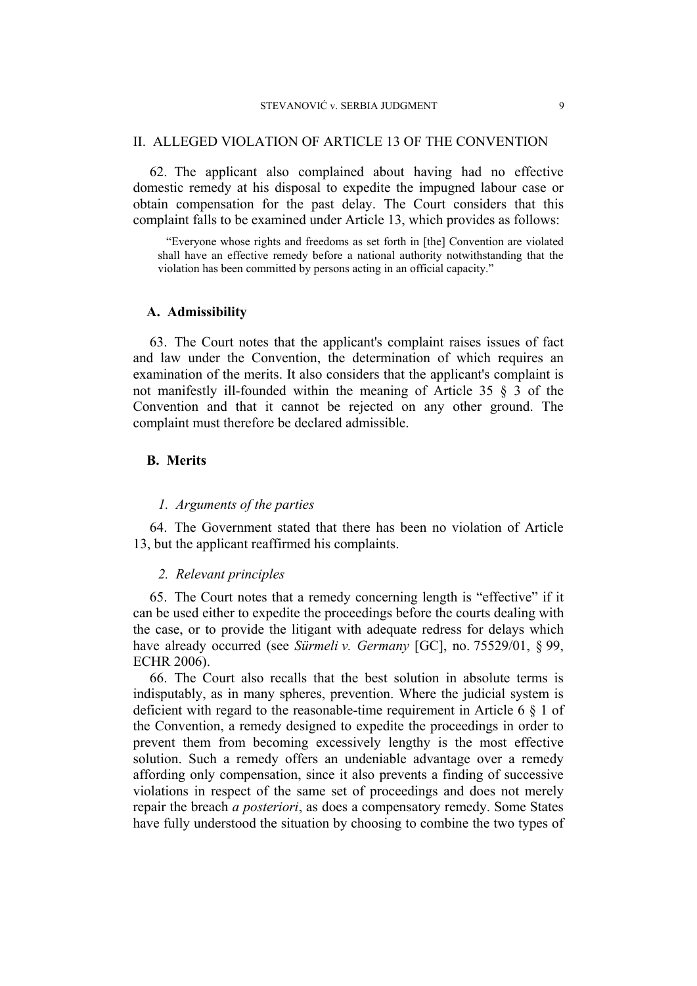#### STEVANOVIĆ v. SERBIA JUDGMENT 9

#### II. ALLEGED VIOLATION OF ARTICLE 13 OF THE CONVENTION

62. The applicant also complained about having had no effective domestic remedy at his disposal to expedite the impugned labour case or obtain compensation for the past delay. The Court considers that this complaint falls to be examined under Article 13, which provides as follows:

"Everyone whose rights and freedoms as set forth in [the] Convention are violated shall have an effective remedy before a national authority notwithstanding that the violation has been committed by persons acting in an official capacity."

#### **A. Admissibility**

63. The Court notes that the applicant's complaint raises issues of fact and law under the Convention, the determination of which requires an examination of the merits. It also considers that the applicant's complaint is not manifestly ill-founded within the meaning of Article 35 § 3 of the Convention and that it cannot be rejected on any other ground. The complaint must therefore be declared admissible.

# **B. Merits**

#### *1. Arguments of the parties*

64. The Government stated that there has been no violation of Article 13, but the applicant reaffirmed his complaints.

#### *2. Relevant principles*

65. The Court notes that a remedy concerning length is "effective" if it can be used either to expedite the proceedings before the courts dealing with the case, or to provide the litigant with adequate redress for delays which have already occurred (see *Sürmeli v. Germany* [GC], no. 75529/01, § 99, ECHR 2006).

66. The Court also recalls that the best solution in absolute terms is indisputably, as in many spheres, prevention. Where the judicial system is deficient with regard to the reasonable-time requirement in Article 6 § 1 of the Convention, a remedy designed to expedite the proceedings in order to prevent them from becoming excessively lengthy is the most effective solution. Such a remedy offers an undeniable advantage over a remedy affording only compensation, since it also prevents a finding of successive violations in respect of the same set of proceedings and does not merely repair the breach *a posteriori*, as does a compensatory remedy. Some States have fully understood the situation by choosing to combine the two types of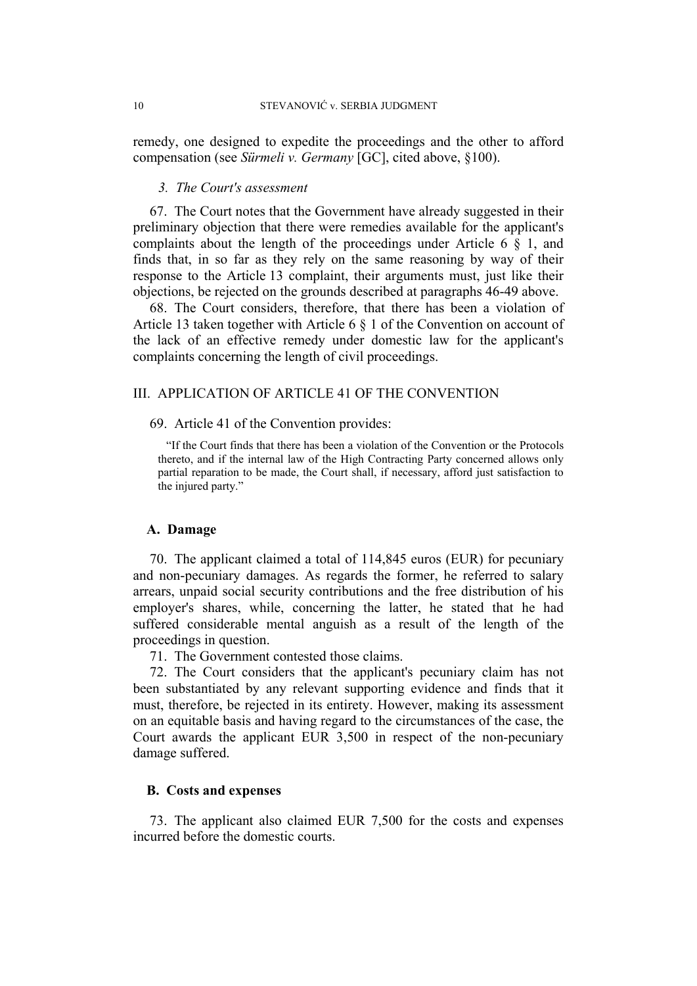remedy, one designed to expedite the proceedings and the other to afford compensation (see *Sürmeli v. Germany* [GC], cited above, §100).

#### *3. The Court's assessment*

67. The Court notes that the Government have already suggested in their preliminary objection that there were remedies available for the applicant's complaints about the length of the proceedings under Article 6 § 1, and finds that, in so far as they rely on the same reasoning by way of their response to the Article 13 complaint, their arguments must, just like their objections, be rejected on the grounds described at paragraphs 46-49 above.

68. The Court considers, therefore, that there has been a violation of Article 13 taken together with Article 6 § 1 of the Convention on account of the lack of an effective remedy under domestic law for the applicant's complaints concerning the length of civil proceedings.

# III. APPLICATION OF ARTICLE 41 OF THE CONVENTION

69. Article 41 of the Convention provides:

"If the Court finds that there has been a violation of the Convention or the Protocols thereto, and if the internal law of the High Contracting Party concerned allows only partial reparation to be made, the Court shall, if necessary, afford just satisfaction to the injured party."

#### **A. Damage**

70. The applicant claimed a total of 114,845 euros (EUR) for pecuniary and non-pecuniary damages. As regards the former, he referred to salary arrears, unpaid social security contributions and the free distribution of his employer's shares, while, concerning the latter, he stated that he had suffered considerable mental anguish as a result of the length of the proceedings in question.

71. The Government contested those claims.

72. The Court considers that the applicant's pecuniary claim has not been substantiated by any relevant supporting evidence and finds that it must, therefore, be rejected in its entirety. However, making its assessment on an equitable basis and having regard to the circumstances of the case, the Court awards the applicant EUR 3,500 in respect of the non-pecuniary damage suffered.

## **B. Costs and expenses**

73. The applicant also claimed EUR 7,500 for the costs and expenses incurred before the domestic courts.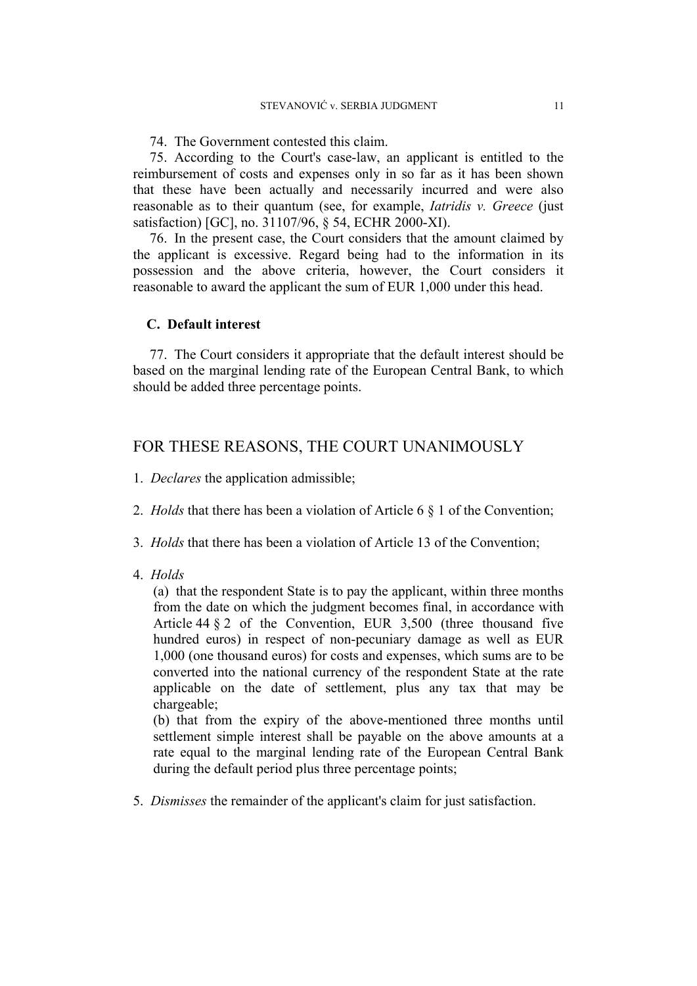74. The Government contested this claim.

75. According to the Court's case-law, an applicant is entitled to the reimbursement of costs and expenses only in so far as it has been shown that these have been actually and necessarily incurred and were also reasonable as to their quantum (see, for example, *Iatridis v. Greece* (just satisfaction) [GC], no. 31107/96, § 54, ECHR 2000-XI).

76. In the present case, the Court considers that the amount claimed by the applicant is excessive. Regard being had to the information in its possession and the above criteria, however, the Court considers it reasonable to award the applicant the sum of EUR 1,000 under this head.

#### **C. Default interest**

77. The Court considers it appropriate that the default interest should be based on the marginal lending rate of the European Central Bank, to which should be added three percentage points.

# FOR THESE REASONS, THE COURT UNANIMOUSLY

- 1. *Declares* the application admissible;
- 2. *Holds* that there has been a violation of Article 6 § 1 of the Convention;
- 3. *Holds* that there has been a violation of Article 13 of the Convention;
- 4. *Holds*

(a) that the respondent State is to pay the applicant, within three months from the date on which the judgment becomes final, in accordance with Article 44 § 2 of the Convention, EUR 3,500 (three thousand five hundred euros) in respect of non-pecuniary damage as well as EUR 1,000 (one thousand euros) for costs and expenses, which sums are to be converted into the national currency of the respondent State at the rate applicable on the date of settlement, plus any tax that may be chargeable;

(b) that from the expiry of the above-mentioned three months until settlement simple interest shall be payable on the above amounts at a rate equal to the marginal lending rate of the European Central Bank during the default period plus three percentage points;

5. *Dismisses* the remainder of the applicant's claim for just satisfaction.